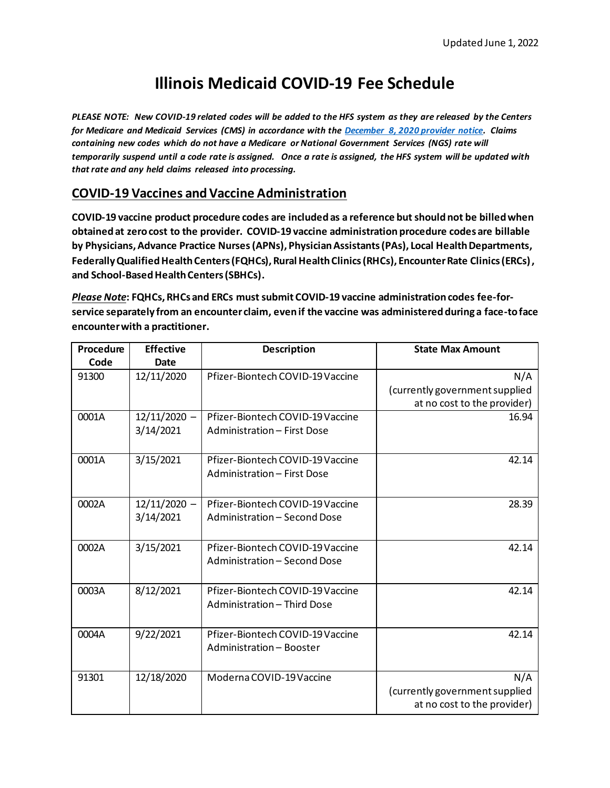# **Illinois Medicaid COVID-19 Fee Schedule**

*PLEASE NOTE: New COVID-19 related codes will be added to the HFS system as they are released by the Centers for Medicare and Medicaid Services (CMS) in accordance with th[e December 8, 2020 provider notice.](https://www.illinois.gov/hfs/MedicalProviders/notices/Pages/prn201208a.aspx) Claims containing new codes which do not have a Medicare or National Government Services (NGS) rate will temporarily suspend until a code rate is assigned. Once a rate is assigned, the HFS system will be updated with that rate and any held claims released into processing.* 

## **COVID-19 Vaccines and Vaccine Administration**

**COVID-19 vaccine product procedure codes are included as a reference but should not be billed when obtained at zero cost to the provider. COVID-19 vaccine administration procedure codes are billable by Physicians, Advance Practice Nurses(APNs), Physician Assistants(PAs), Local Health Departments, Federally Qualified Health Centers (FQHCs), Rural Health Clinics (RHCs), Encounter Rate Clinics (ERCs), and School-Based Health Centers (SBHCs).** 

*Please Note***: FQHCs, RHCs and ERCs must submit COVID-19 vaccine administration codes fee-forservice separately from an encounter claim, even if the vaccine was administered during a face-to face encounter with a practitioner.** 

| Procedure | <b>Effective</b> | <b>Description</b>               | <b>State Max Amount</b>        |
|-----------|------------------|----------------------------------|--------------------------------|
| Code      | Date             |                                  |                                |
| 91300     | 12/11/2020       | Pfizer-Biontech COVID-19 Vaccine | N/A                            |
|           |                  |                                  | (currently government supplied |
|           |                  |                                  | at no cost to the provider)    |
| 0001A     | $12/11/2020 -$   | Pfizer-Biontech COVID-19 Vaccine | 16.94                          |
|           | 3/14/2021        | Administration - First Dose      |                                |
| 0001A     | 3/15/2021        | Pfizer-Biontech COVID-19 Vaccine | 42.14                          |
|           |                  | Administration - First Dose      |                                |
| 0002A     | $12/11/2020 -$   | Pfizer-Biontech COVID-19 Vaccine | 28.39                          |
|           | 3/14/2021        | Administration - Second Dose     |                                |
| 0002A     | 3/15/2021        | Pfizer-Biontech COVID-19 Vaccine | 42.14                          |
|           |                  | Administration - Second Dose     |                                |
| 0003A     | 8/12/2021        | Pfizer-Biontech COVID-19 Vaccine | 42.14                          |
|           |                  | Administration - Third Dose      |                                |
| 0004A     | 9/22/2021        | Pfizer-Biontech COVID-19 Vaccine | 42.14                          |
|           |                  | Administration - Booster         |                                |
| 91301     | 12/18/2020       | Moderna COVID-19 Vaccine         | N/A                            |
|           |                  |                                  | (currently government supplied |
|           |                  |                                  | at no cost to the provider)    |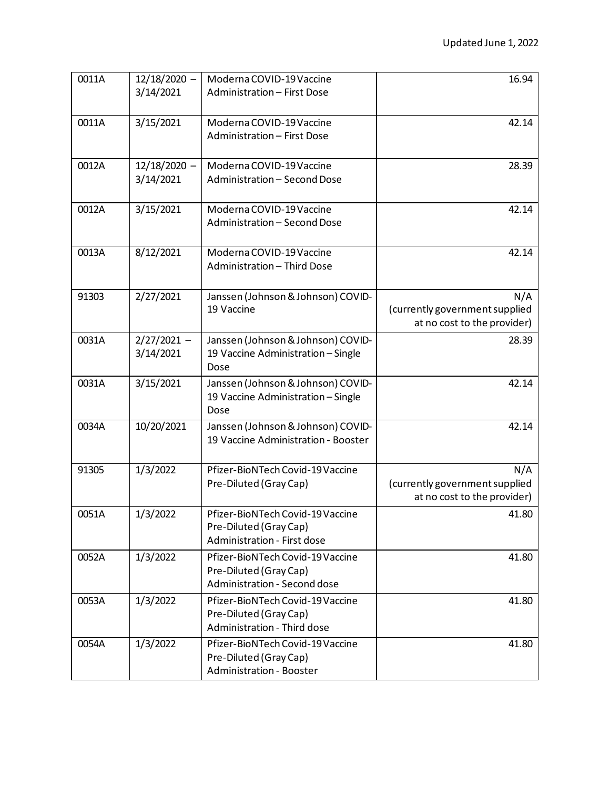| 0011A | $12/18/2020 -$<br>3/14/2021 | Moderna COVID-19 Vaccine<br>Administration - First Dose                                       | 16.94                                                                |
|-------|-----------------------------|-----------------------------------------------------------------------------------------------|----------------------------------------------------------------------|
| 0011A | 3/15/2021                   | Moderna COVID-19 Vaccine<br><b>Administration - First Dose</b>                                | 42.14                                                                |
| 0012A | $12/18/2020 -$<br>3/14/2021 | Moderna COVID-19 Vaccine<br>Administration - Second Dose                                      | 28.39                                                                |
| 0012A | 3/15/2021                   | Moderna COVID-19 Vaccine<br>Administration - Second Dose                                      | 42.14                                                                |
| 0013A | 8/12/2021                   | Moderna COVID-19 Vaccine<br>Administration - Third Dose                                       | 42.14                                                                |
| 91303 | 2/27/2021                   | Janssen (Johnson & Johnson) COVID-<br>19 Vaccine                                              | N/A<br>(currently government supplied<br>at no cost to the provider) |
| 0031A | $2/27/2021 -$<br>3/14/2021  | Janssen (Johnson & Johnson) COVID-<br>19 Vaccine Administration - Single<br>Dose              | 28.39                                                                |
| 0031A | 3/15/2021                   | Janssen (Johnson & Johnson) COVID-<br>19 Vaccine Administration - Single<br>Dose              | 42.14                                                                |
| 0034A | 10/20/2021                  | Janssen (Johnson & Johnson) COVID-<br>19 Vaccine Administration - Booster                     | 42.14                                                                |
| 91305 | 1/3/2022                    | Pfizer-BioNTech Covid-19 Vaccine<br>Pre-Diluted (Gray Cap)                                    | N/A<br>(currently government supplied<br>at no cost to the provider) |
| 0051A | 1/3/2022                    | Pfizer-BioNTech Covid-19 Vaccine<br>Pre-Diluted (Gray Cap)<br>Administration - First dose     | 41.80                                                                |
| 0052A | 1/3/2022                    | Pfizer-BioNTech Covid-19 Vaccine<br>Pre-Diluted (Gray Cap)<br>Administration - Second dose    | 41.80                                                                |
| 0053A | 1/3/2022                    | Pfizer-BioNTech Covid-19 Vaccine<br>Pre-Diluted (Gray Cap)<br>Administration - Third dose     | 41.80                                                                |
| 0054A | 1/3/2022                    | Pfizer-BioNTech Covid-19 Vaccine<br>Pre-Diluted (Gray Cap)<br><b>Administration - Booster</b> | 41.80                                                                |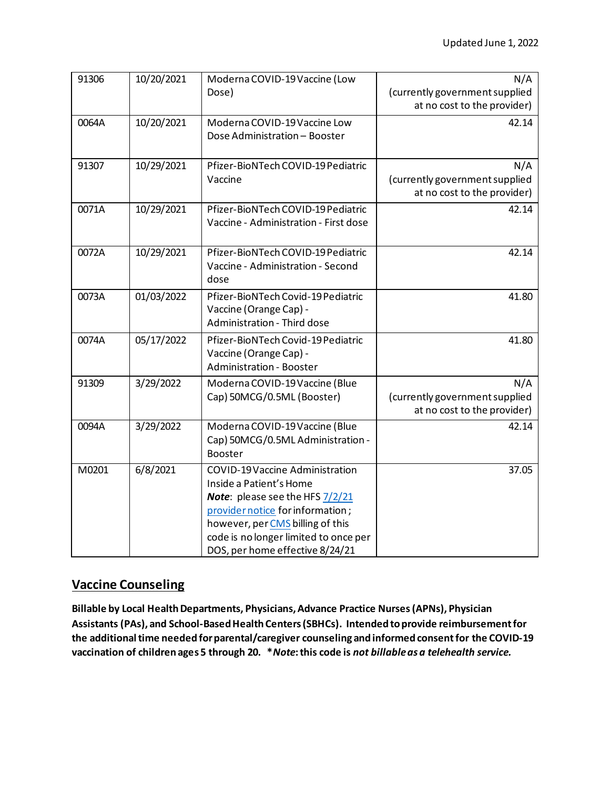| 91306 | 10/20/2021 | Moderna COVID-19 Vaccine (Low<br>Dose)                                                                                                                                                                                                                   | N/A<br>(currently government supplied<br>at no cost to the provider) |
|-------|------------|----------------------------------------------------------------------------------------------------------------------------------------------------------------------------------------------------------------------------------------------------------|----------------------------------------------------------------------|
| 0064A | 10/20/2021 | Moderna COVID-19 Vaccine Low<br>Dose Administration - Booster                                                                                                                                                                                            | 42.14                                                                |
| 91307 | 10/29/2021 | Pfizer-BioNTech COVID-19 Pediatric<br>Vaccine                                                                                                                                                                                                            | N/A<br>(currently government supplied<br>at no cost to the provider) |
| 0071A | 10/29/2021 | Pfizer-BioNTech COVID-19 Pediatric<br>Vaccine - Administration - First dose                                                                                                                                                                              | 42.14                                                                |
| 0072A | 10/29/2021 | Pfizer-BioNTech COVID-19 Pediatric<br>Vaccine - Administration - Second<br>dose                                                                                                                                                                          | 42.14                                                                |
| 0073A | 01/03/2022 | Pfizer-BioNTech Covid-19 Pediatric<br>Vaccine (Orange Cap) -<br>Administration - Third dose                                                                                                                                                              | 41.80                                                                |
| 0074A | 05/17/2022 | Pfizer-BioNTech Covid-19 Pediatric<br>Vaccine (Orange Cap) -<br><b>Administration - Booster</b>                                                                                                                                                          | 41.80                                                                |
| 91309 | 3/29/2022  | Moderna COVID-19 Vaccine (Blue<br>Cap) 50MCG/0.5ML (Booster)                                                                                                                                                                                             | N/A<br>(currently government supplied<br>at no cost to the provider) |
| 0094A | 3/29/2022  | Moderna COVID-19 Vaccine (Blue<br>Cap) 50MCG/0.5ML Administration -<br>Booster                                                                                                                                                                           | 42.14                                                                |
| M0201 | 6/8/2021   | COVID-19 Vaccine Administration<br>Inside a Patient's Home<br><b>Note:</b> please see the HFS 7/2/21<br>provider notice for information;<br>however, per CMS billing of this<br>code is no longer limited to once per<br>DOS, per home effective 8/24/21 | 37.05                                                                |

## **Vaccine Counseling**

**Billable by Local Health Departments, Physicians, Advance Practice Nurses(APNs), Physician Assistants (PAs), and School-Based Health Centers (SBHCs). Intended to provide reimbursementfor the additional time needed for parental/caregiver counseling and informed consentfor the COVID-19 vaccination of children ages 5 through 20. \****Note***: this code is** *not billable as a telehealth service.*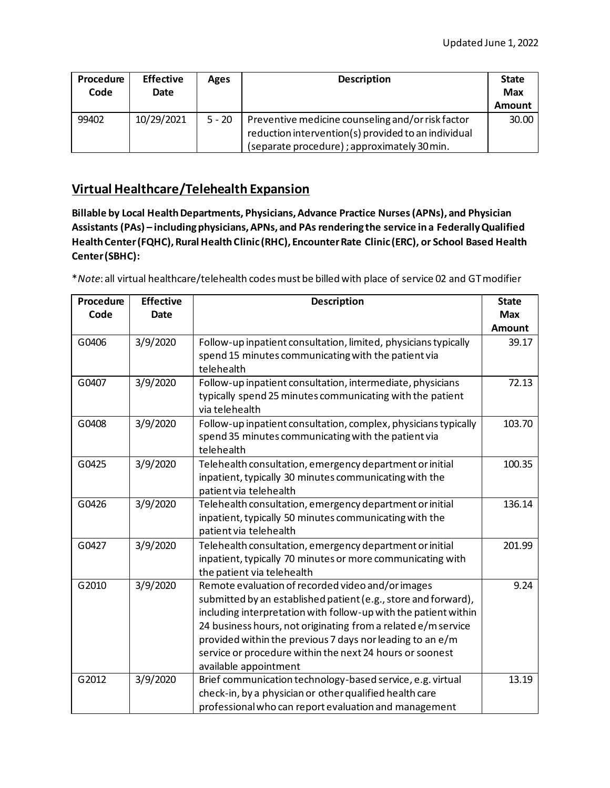| Procedure<br>Code | <b>Effective</b><br><b>Date</b> | Ages     | <b>Description</b>                                                                                       | <b>State</b><br><b>Max</b><br><b>Amount</b> |
|-------------------|---------------------------------|----------|----------------------------------------------------------------------------------------------------------|---------------------------------------------|
| 99402             | 10/29/2021                      | $5 - 20$ | Preventive medicine counseling and/or risk factor<br>reduction intervention(s) provided to an individual | 30.00                                       |
|                   |                                 |          | (separate procedure); approximately 30 min.                                                              |                                             |

## **Virtual Healthcare/Telehealth Expansion**

**Billable by Local Health Departments, Physicians, Advance Practice Nurses(APNs), and Physician Assistants (PAs) – including physicians, APNs, and PAs rendering the service in a Federally Qualified Health Center (FQHC), Rural Health Clinic (RHC), Encounter Rate Clinic (ERC), or School Based Health Center (SBHC):**

\**Note*: all virtual healthcare/telehealth codes must be billed with place of service 02 and GT modifier

| Procedure | <b>Effective</b> | <b>Description</b>                                                               |               |
|-----------|------------------|----------------------------------------------------------------------------------|---------------|
| Code      | <b>Date</b>      |                                                                                  | <b>Max</b>    |
|           |                  |                                                                                  | <b>Amount</b> |
| G0406     | 3/9/2020         | Follow-up inpatient consultation, limited, physicians typically                  | 39.17         |
|           |                  | spend 15 minutes communicating with the patient via                              |               |
|           |                  | telehealth                                                                       |               |
| G0407     | 3/9/2020         | Follow-up inpatient consultation, intermediate, physicians                       | 72.13         |
|           |                  | typically spend 25 minutes communicating with the patient                        |               |
|           |                  | via telehealth                                                                   |               |
| G0408     | 3/9/2020         | Follow-up inpatient consultation, complex, physicians typically                  | 103.70        |
|           |                  | spend 35 minutes communicating with the patient via                              |               |
|           |                  | telehealth                                                                       |               |
| G0425     | 3/9/2020         | Telehealth consultation, emergency department or initial                         | 100.35        |
|           |                  | inpatient, typically 30 minutes communicating with the                           |               |
|           |                  | patient via telehealth                                                           |               |
| G0426     | 3/9/2020         | Telehealth consultation, emergency department or initial                         | 136.14        |
|           |                  | inpatient, typically 50 minutes communicating with the<br>patient via telehealth |               |
| G0427     | 3/9/2020         | Telehealth consultation, emergency department or initial                         | 201.99        |
|           |                  | inpatient, typically 70 minutes or more communicating with                       |               |
|           |                  | the patient via telehealth                                                       |               |
| G2010     | 3/9/2020         | Remote evaluation of recorded video and/or images                                | 9.24          |
|           |                  | submitted by an established patient (e.g., store and forward),                   |               |
|           |                  | including interpretation with follow-up with the patient within                  |               |
|           |                  | 24 business hours, not originating from a related e/m service                    |               |
|           |                  | provided within the previous 7 days nor leading to an e/m                        |               |
|           |                  | service or procedure within the next 24 hours or soonest                         |               |
|           |                  | available appointment                                                            |               |
| G2012     | 3/9/2020         | Brief communication technology-based service, e.g. virtual                       | 13.19         |
|           |                  | check-in, by a physician or other qualified health care                          |               |
|           |                  | professional who can report evaluation and management                            |               |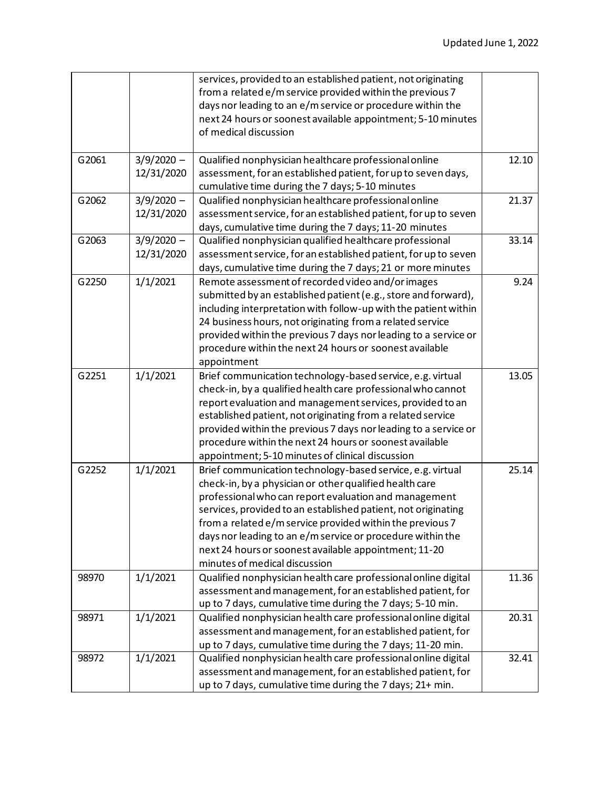|       |                                      | services, provided to an established patient, not originating<br>from a related e/m service provided within the previous 7<br>days nor leading to an e/m service or procedure within the<br>next 24 hours or soonest available appointment; 5-10 minutes<br>of medical discussion                                                                                                                                                                                    |       |
|-------|--------------------------------------|----------------------------------------------------------------------------------------------------------------------------------------------------------------------------------------------------------------------------------------------------------------------------------------------------------------------------------------------------------------------------------------------------------------------------------------------------------------------|-------|
| G2061 | $3/9/2020 -$<br>12/31/2020           | Qualified nonphysician healthcare professional online<br>assessment, for an established patient, for up to seven days,<br>cumulative time during the 7 days; 5-10 minutes                                                                                                                                                                                                                                                                                            | 12.10 |
| G2062 | $3/9/2020 -$<br>12/31/2020           | Qualified nonphysician healthcare professional online<br>assessment service, for an established patient, for up to seven<br>days, cumulative time during the 7 days; 11-20 minutes                                                                                                                                                                                                                                                                                   | 21.37 |
| G2063 | $\frac{1}{3}/9/2020 -$<br>12/31/2020 | Qualified nonphysician qualified healthcare professional<br>assessment service, for an established patient, for up to seven<br>days, cumulative time during the 7 days; 21 or more minutes                                                                                                                                                                                                                                                                           | 33.14 |
| G2250 | 1/1/2021                             | Remote assessment of recorded video and/or images<br>submitted by an established patient (e.g., store and forward),<br>including interpretation with follow-up with the patient within<br>24 business hours, not originating from a related service<br>provided within the previous 7 days nor leading to a service or<br>procedure within the next 24 hours or soonest available<br>appointment                                                                     | 9.24  |
| G2251 | 1/1/2021                             | Brief communication technology-based service, e.g. virtual<br>check-in, by a qualified health care professional who cannot<br>report evaluation and management services, provided to an<br>established patient, not originating from a related service<br>provided within the previous 7 days nor leading to a service or<br>procedure within the next 24 hours or soonest available<br>appointment; 5-10 minutes of clinical discussion                             | 13.05 |
| G2252 | 1/1/2021                             | Brief communication technology-based service, e.g. virtual<br>check-in, by a physician or other qualified health care<br>professional who can report evaluation and management<br>services, provided to an established patient, not originating<br>from a related e/m service provided within the previous 7<br>days nor leading to an e/m service or procedure within the<br>next 24 hours or soonest available appointment; 11-20<br>minutes of medical discussion | 25.14 |
| 98970 | 1/1/2021                             | Qualified nonphysician health care professional online digital<br>assessment and management, for an established patient, for<br>up to 7 days, cumulative time during the 7 days; 5-10 min.                                                                                                                                                                                                                                                                           | 11.36 |
| 98971 | 1/1/2021                             | Qualified nonphysician health care professional online digital<br>assessment and management, for an established patient, for<br>up to 7 days, cumulative time during the 7 days; 11-20 min.                                                                                                                                                                                                                                                                          | 20.31 |
| 98972 | 1/1/2021                             | Qualified nonphysician health care professional online digital<br>assessment and management, for an established patient, for<br>up to 7 days, cumulative time during the 7 days; 21+ min.                                                                                                                                                                                                                                                                            | 32.41 |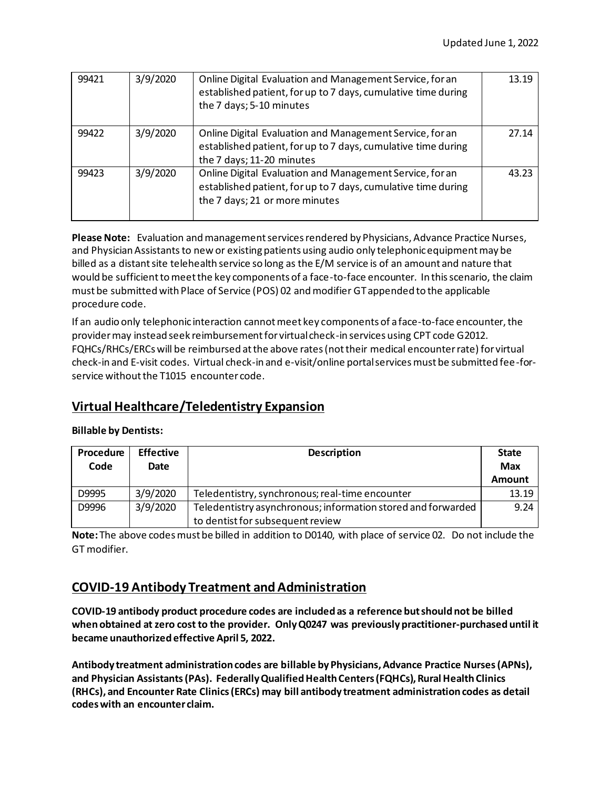| 99421 | 3/9/2020 | Online Digital Evaluation and Management Service, for an<br>established patient, for up to 7 days, cumulative time during<br>the 7 days; 5-10 minutes       | 13.19 |
|-------|----------|-------------------------------------------------------------------------------------------------------------------------------------------------------------|-------|
| 99422 | 3/9/2020 | Online Digital Evaluation and Management Service, for an<br>established patient, for up to 7 days, cumulative time during<br>the 7 days; 11-20 minutes      | 27.14 |
| 99423 | 3/9/2020 | Online Digital Evaluation and Management Service, for an<br>established patient, for up to 7 days, cumulative time during<br>the 7 days; 21 or more minutes | 43.23 |

**Please Note:** Evaluation and management services rendered by Physicians, Advance Practice Nurses, and Physician Assistants to new or existing patients using audio only telephonic equipment may be billed as a distant site telehealth service so long as the E/M service is of an amount and nature that would be sufficient to meet the key components of a face-to-face encounter. In this scenario, the claim must be submitted with Place of Service (POS) 02 and modifier GT appended to the applicable procedure code.

If an audio only telephonic interaction cannot meet key components of a face-to-face encounter, the provider may instead seek reimbursement for virtual check-in services using CPT code G2012. FQHCs/RHCs/ERCs will be reimbursed at the above rates (not their medical encounter rate) for virtual check-in and E-visit codes. Virtual check-in and e-visit/online portal services must be submitted fee-forservice without the T1015 encounter code.

## **Virtual Healthcare/Teledentistry Expansion**

#### **Billable by Dentists:**

| Procedure | <b>Effective</b> | <b>Description</b>                                           | <b>State</b>  |
|-----------|------------------|--------------------------------------------------------------|---------------|
| Code      | Date             |                                                              | Max           |
|           |                  |                                                              | <b>Amount</b> |
| D9995     | 3/9/2020         | Teledentistry, synchronous; real-time encounter              | 13.19         |
| D9996     | 3/9/2020         | Teledentistry asynchronous; information stored and forwarded | 9.24          |
|           |                  | to dentist for subsequent review                             |               |

**Note:** The above codes must be billed in addition to D0140, with place of service 02. Do not include the GT modifier.

## **COVID-19 Antibody Treatment and Administration**

**COVID-19 antibody product procedure codes are included as a reference but should not be billed when obtained at zero cost to the provider. Only Q0247 was previously practitioner-purchased until it became unauthorized effective April 5, 2022.** 

**Antibody treatment administration codes are billable by Physicians, Advance Practice Nurses(APNs), and Physician Assistants(PAs). Federally Qualified Health Centers (FQHCs), Rural Health Clinics (RHCs), and Encounter Rate Clinics (ERCs) may bill antibody treatment administration codes as detail codes with an encounter claim.**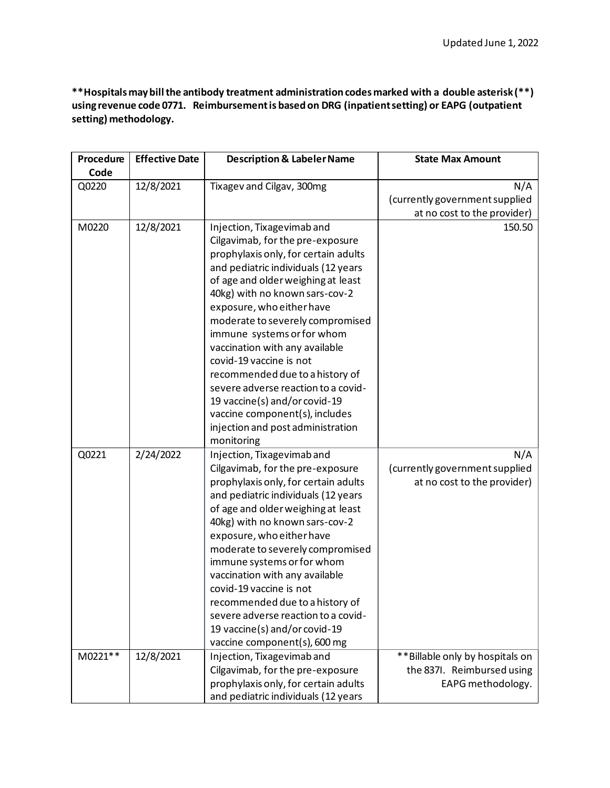**\*\*Hospitals may bill the antibody treatment administration codes marked with a double asterisk (\*\*) using revenue code 0771. Reimbursement is based on DRG (inpatient setting) or EAPG (outpatient setting) methodology.**

| Procedure | <b>Effective Date</b> | <b>Description &amp; Labeler Name</b>                                                                                                                                                                                                                                                                                                                                                                                                                                                                                        | <b>State Max Amount</b>                                                             |
|-----------|-----------------------|------------------------------------------------------------------------------------------------------------------------------------------------------------------------------------------------------------------------------------------------------------------------------------------------------------------------------------------------------------------------------------------------------------------------------------------------------------------------------------------------------------------------------|-------------------------------------------------------------------------------------|
| Code      |                       |                                                                                                                                                                                                                                                                                                                                                                                                                                                                                                                              |                                                                                     |
| Q0220     | 12/8/2021             | Tixagev and Cilgav, 300mg                                                                                                                                                                                                                                                                                                                                                                                                                                                                                                    | N/A                                                                                 |
|           |                       |                                                                                                                                                                                                                                                                                                                                                                                                                                                                                                                              | (currently government supplied                                                      |
|           |                       |                                                                                                                                                                                                                                                                                                                                                                                                                                                                                                                              | at no cost to the provider)                                                         |
| M0220     | 12/8/2021             | Injection, Tixagevimab and<br>Cilgavimab, for the pre-exposure<br>prophylaxis only, for certain adults<br>and pediatric individuals (12 years<br>of age and older weighing at least<br>40kg) with no known sars-cov-2<br>exposure, who either have<br>moderate to severely compromised<br>immune systems or for whom<br>vaccination with any available<br>covid-19 vaccine is not<br>recommended due to a history of<br>severe adverse reaction to a covid-<br>19 vaccine(s) and/or covid-19                                 | 150.50                                                                              |
|           |                       | vaccine component(s), includes<br>injection and post administration                                                                                                                                                                                                                                                                                                                                                                                                                                                          |                                                                                     |
|           |                       | monitoring                                                                                                                                                                                                                                                                                                                                                                                                                                                                                                                   |                                                                                     |
| Q0221     | 2/24/2022             | Injection, Tixagevimab and<br>Cilgavimab, for the pre-exposure<br>prophylaxis only, for certain adults<br>and pediatric individuals (12 years<br>of age and older weighing at least<br>40kg) with no known sars-cov-2<br>exposure, who either have<br>moderate to severely compromised<br>immune systems or for whom<br>vaccination with any available<br>covid-19 vaccine is not<br>recommended due to a history of<br>severe adverse reaction to a covid-<br>19 vaccine(s) and/or covid-19<br>vaccine component(s), 600 mg | N/A<br>(currently government supplied<br>at no cost to the provider)                |
| M0221**   | 12/8/2021             | Injection, Tixagevimab and<br>Cilgavimab, for the pre-exposure<br>prophylaxis only, for certain adults<br>and pediatric individuals (12 years                                                                                                                                                                                                                                                                                                                                                                                | ** Billable only by hospitals on<br>the 837I. Reimbursed using<br>EAPG methodology. |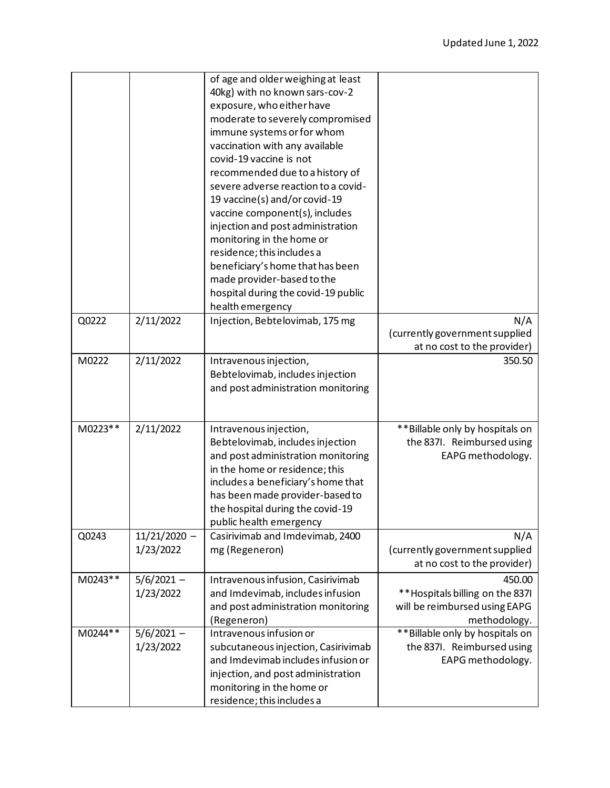|         |                | of age and older weighing at least  |                                  |
|---------|----------------|-------------------------------------|----------------------------------|
|         |                | 40kg) with no known sars-cov-2      |                                  |
|         |                | exposure, who either have           |                                  |
|         |                | moderate to severely compromised    |                                  |
|         |                | immune systems or for whom          |                                  |
|         |                | vaccination with any available      |                                  |
|         |                | covid-19 vaccine is not             |                                  |
|         |                | recommended due to a history of     |                                  |
|         |                | severe adverse reaction to a covid- |                                  |
|         |                | 19 vaccine(s) and/or covid-19       |                                  |
|         |                | vaccine component(s), includes      |                                  |
|         |                | injection and post administration   |                                  |
|         |                | monitoring in the home or           |                                  |
|         |                | residence; this includes a          |                                  |
|         |                | beneficiary's home that has been    |                                  |
|         |                | made provider-based to the          |                                  |
|         |                | hospital during the covid-19 public |                                  |
|         |                | health emergency                    |                                  |
| Q0222   | 2/11/2022      | Injection, Bebtelovimab, 175 mg     | N/A                              |
|         |                |                                     | (currently government supplied   |
|         |                |                                     | at no cost to the provider)      |
| M0222   | 2/11/2022      | Intravenous injection,              | 350.50                           |
|         |                | Bebtelovimab, includes injection    |                                  |
|         |                | and post administration monitoring  |                                  |
|         |                |                                     |                                  |
| M0223** | 2/11/2022      | Intravenous injection,              | ** Billable only by hospitals on |
|         |                | Bebtelovimab, includes injection    | the 837I. Reimbursed using       |
|         |                | and post administration monitoring  | EAPG methodology.                |
|         |                | in the home or residence; this      |                                  |
|         |                | includes a beneficiary's home that  |                                  |
|         |                | has been made provider-based to     |                                  |
|         |                | the hospital during the covid-19    |                                  |
|         |                | public health emergency             |                                  |
| Q0243   | $11/21/2020 -$ | Casirivimab and Imdevimab, 2400     | N/A                              |
|         | 1/23/2022      | mg (Regeneron)                      | (currently government supplied   |
|         |                |                                     | at no cost to the provider)      |
| M0243** | $5/6/2021 -$   | Intravenous infusion, Casirivimab   | 450.00                           |
|         | 1/23/2022      | and Imdevimab, includes infusion    | **Hospitals billing on the 837I  |
|         |                | and post administration monitoring  | will be reimbursed using EAPG    |
|         |                | (Regeneron)                         | methodology.                     |
| M0244** | $5/6/2021 -$   | Intravenous infusion or             | ** Billable only by hospitals on |
|         | 1/23/2022      | subcutaneous injection, Casirivimab | the 837I. Reimbursed using       |
|         |                | and Imdevimab includes infusion or  | EAPG methodology.                |
|         |                | injection, and post administration  |                                  |
|         |                | monitoring in the home or           |                                  |
|         |                | residence; this includes a          |                                  |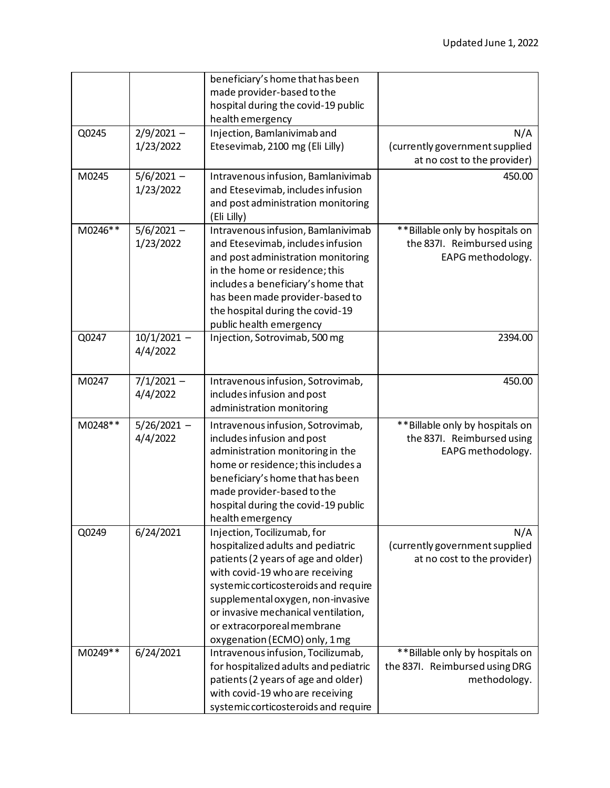|         |                           | beneficiary's home that has been<br>made provider-based to the<br>hospital during the covid-19 public<br>health emergency                                                                                                                                                                                                     |                                                                                     |
|---------|---------------------------|-------------------------------------------------------------------------------------------------------------------------------------------------------------------------------------------------------------------------------------------------------------------------------------------------------------------------------|-------------------------------------------------------------------------------------|
| Q0245   | $2/9/2021 -$<br>1/23/2022 | Injection, Bamlanivimab and<br>Etesevimab, 2100 mg (Eli Lilly)                                                                                                                                                                                                                                                                | N/A<br>(currently government supplied<br>at no cost to the provider)                |
| M0245   | $5/6/2021 -$<br>1/23/2022 | Intravenous infusion, Bamlanivimab<br>and Etesevimab, includes infusion<br>and post administration monitoring<br>(Eli Lilly)                                                                                                                                                                                                  | 450.00                                                                              |
| M0246** | $5/6/2021 -$<br>1/23/2022 | Intravenous infusion, Bamlanivimab<br>and Etesevimab, includes infusion<br>and post administration monitoring<br>in the home or residence; this<br>includes a beneficiary's home that<br>has been made provider-based to<br>the hospital during the covid-19<br>public health emergency                                       | ** Billable only by hospitals on<br>the 837I. Reimbursed using<br>EAPG methodology. |
| Q0247   | $10/1/2021 -$<br>4/4/2022 | Injection, Sotrovimab, 500 mg                                                                                                                                                                                                                                                                                                 | 2394.00                                                                             |
| M0247   | $7/1/2021 -$<br>4/4/2022  | Intravenous infusion, Sotrovimab,<br>includes infusion and post<br>administration monitoring                                                                                                                                                                                                                                  | 450.00                                                                              |
| M0248** | $5/26/2021 -$<br>4/4/2022 | Intravenous infusion, Sotrovimab,<br>includes infusion and post<br>administration monitoring in the<br>home or residence; this includes a<br>beneficiary's home that has been<br>made provider-based to the<br>hospital during the covid-19 public<br>health emergency                                                        | ** Billable only by hospitals on<br>the 837I. Reimbursed using<br>EAPG methodology. |
| Q0249   | 6/24/2021                 | Injection, Tocilizumab, for<br>hospitalized adults and pediatric<br>patients (2 years of age and older)<br>with covid-19 who are receiving<br>systemic corticosteroids and require<br>supplemental oxygen, non-invasive<br>or invasive mechanical ventilation,<br>or extracorporeal membrane<br>oxygenation (ECMO) only, 1 mg | N/A<br>(currently government supplied<br>at no cost to the provider)                |
| M0249** | 6/24/2021                 | Intravenous infusion, Tocilizumab,<br>for hospitalized adults and pediatric<br>patients (2 years of age and older)<br>with covid-19 who are receiving<br>systemic corticosteroids and require                                                                                                                                 | ** Billable only by hospitals on<br>the 837I. Reimbursed using DRG<br>methodology.  |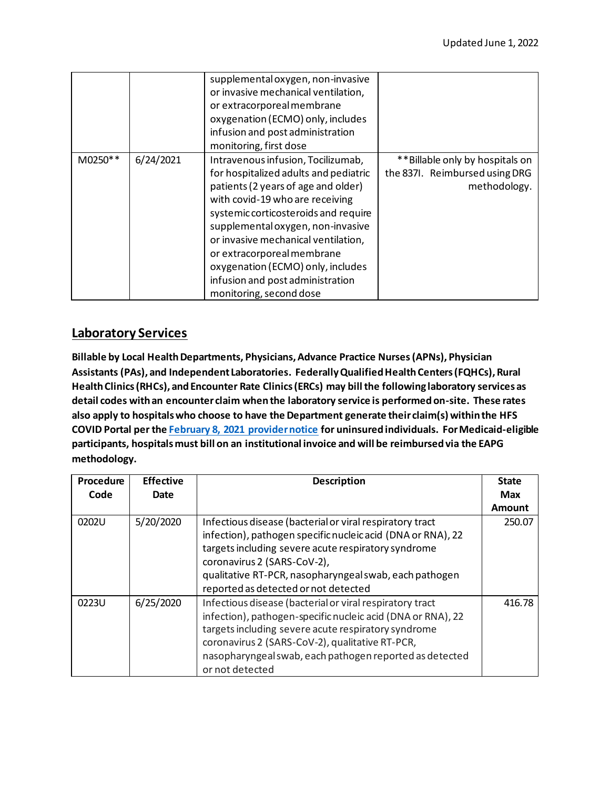|         |           | supplemental oxygen, non-invasive<br>or invasive mechanical ventilation,<br>or extracorporeal membrane<br>oxygenation (ECMO) only, includes<br>infusion and post administration<br>monitoring, first dose                                                                                                                                                                                                   |                                                                                    |
|---------|-----------|-------------------------------------------------------------------------------------------------------------------------------------------------------------------------------------------------------------------------------------------------------------------------------------------------------------------------------------------------------------------------------------------------------------|------------------------------------------------------------------------------------|
| M0250** | 6/24/2021 | Intravenous infusion, Tocilizumab,<br>for hospitalized adults and pediatric<br>patients (2 years of age and older)<br>with covid-19 who are receiving<br>systemic corticosteroids and require<br>supplemental oxygen, non-invasive<br>or invasive mechanical ventilation,<br>or extracorporeal membrane<br>oxygenation (ECMO) only, includes<br>infusion and post administration<br>monitoring, second dose | ** Billable only by hospitals on<br>the 837I. Reimbursed using DRG<br>methodology. |

## **Laboratory Services**

**Billable by Local Health Departments, Physicians, Advance Practice Nurses(APNs), Physician Assistants (PAs), and Independent Laboratories. Federally Qualified Health Centers (FQHCs), Rural Health Clinics (RHCs), and Encounter Rate Clinics (ERCs) may billthe following laboratory services as detail codes with an encounter claim when the laboratory service is performed on-site. These rates also apply to hospitals who choose to have the Department generate their claim(s) within the HFS COVID Portal per the [February 8, 2021 provider notice](https://www2.illinois.gov/hfs/MedicalProviders/notices/Pages/prn210208b.aspx) for uninsured individuals. For Medicaid-eligible participants, hospitals must bill on an institutional invoice and will be reimbursed via the EAPG methodology.**

| Procedure | <b>Effective</b> | <b>Description</b>                                                                                                                                                                                                                                                                                              | <b>State</b>  |
|-----------|------------------|-----------------------------------------------------------------------------------------------------------------------------------------------------------------------------------------------------------------------------------------------------------------------------------------------------------------|---------------|
| Code      | Date             |                                                                                                                                                                                                                                                                                                                 | <b>Max</b>    |
|           |                  |                                                                                                                                                                                                                                                                                                                 | <b>Amount</b> |
| 0202U     | 5/20/2020        | Infectious disease (bacterial or viral respiratory tract<br>infection), pathogen specific nucleic acid (DNA or RNA), 22<br>targets including severe acute respiratory syndrome<br>coronavirus 2 (SARS-CoV-2),<br>qualitative RT-PCR, nasopharyngeal swab, each pathogen<br>reported as detected or not detected | 250.07        |
| 0223U     | 6/25/2020        | Infectious disease (bacterial or viral respiratory tract<br>infection), pathogen-specific nucleic acid (DNA or RNA), 22<br>targets including severe acute respiratory syndrome<br>coronavirus 2 (SARS-CoV-2), qualitative RT-PCR,<br>nasopharyngeal swab, each pathogen reported as detected<br>or not detected | 416.78        |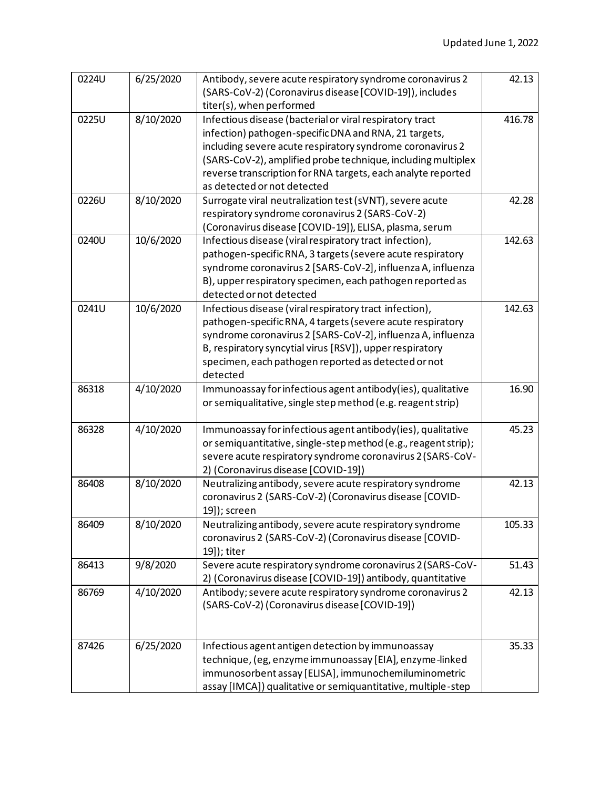| 0224U | 6/25/2020 | Antibody, severe acute respiratory syndrome coronavirus 2<br>(SARS-CoV-2) (Coronavirus disease [COVID-19]), includes<br>titer(s), when performed                                                                                                                                                                                              | 42.13  |
|-------|-----------|-----------------------------------------------------------------------------------------------------------------------------------------------------------------------------------------------------------------------------------------------------------------------------------------------------------------------------------------------|--------|
| 0225U | 8/10/2020 | Infectious disease (bacterial or viral respiratory tract<br>infection) pathogen-specific DNA and RNA, 21 targets,<br>including severe acute respiratory syndrome coronavirus 2<br>(SARS-CoV-2), amplified probe technique, including multiplex<br>reverse transcription for RNA targets, each analyte reported<br>as detected or not detected | 416.78 |
| 0226U | 8/10/2020 | Surrogate viral neutralization test (sVNT), severe acute<br>respiratory syndrome coronavirus 2 (SARS-CoV-2)<br>(Coronavirus disease [COVID-19]), ELISA, plasma, serum                                                                                                                                                                         | 42.28  |
| 0240U | 10/6/2020 | Infectious disease (viral respiratory tract infection),<br>pathogen-specific RNA, 3 targets (severe acute respiratory<br>syndrome coronavirus 2 [SARS-CoV-2], influenza A, influenza<br>B), upper respiratory specimen, each pathogen reported as<br>detected or not detected                                                                 | 142.63 |
| 0241U | 10/6/2020 | Infectious disease (viral respiratory tract infection),<br>pathogen-specific RNA, 4 targets (severe acute respiratory<br>syndrome coronavirus 2 [SARS-CoV-2], influenza A, influenza<br>B, respiratory syncytial virus [RSV]), upper respiratory<br>specimen, each pathogen reported as detected or not<br>detected                           | 142.63 |
| 86318 | 4/10/2020 | Immunoassay for infectious agent antibody(ies), qualitative<br>or semiqualitative, single step method (e.g. reagent strip)                                                                                                                                                                                                                    | 16.90  |
| 86328 | 4/10/2020 | Immunoassay for infectious agent antibody(ies), qualitative<br>or semiquantitative, single-step method (e.g., reagent strip);<br>severe acute respiratory syndrome coronavirus 2 (SARS-CoV-<br>2) (Coronavirus disease [COVID-19])                                                                                                            | 45.23  |
| 86408 | 8/10/2020 | Neutralizing antibody, severe acute respiratory syndrome<br>coronavirus 2 (SARS-CoV-2) (Coronavirus disease [COVID-<br>19]); screen                                                                                                                                                                                                           | 42.13  |
| 86409 | 8/10/2020 | Neutralizing antibody, severe acute respiratory syndrome<br>coronavirus 2 (SARS-CoV-2) (Coronavirus disease [COVID-<br>19]); titer                                                                                                                                                                                                            | 105.33 |
| 86413 | 9/8/2020  | Severe acute respiratory syndrome coronavirus 2 (SARS-CoV-<br>2) (Coronavirus disease [COVID-19]) antibody, quantitative                                                                                                                                                                                                                      | 51.43  |
| 86769 | 4/10/2020 | Antibody; severe acute respiratory syndrome coronavirus 2<br>(SARS-CoV-2) (Coronavirus disease [COVID-19])                                                                                                                                                                                                                                    | 42.13  |
| 87426 | 6/25/2020 | Infectious agent antigen detection by immunoassay<br>technique, (eg, enzyme immunoassay [EIA], enzyme-linked<br>immunosorbent assay [ELISA], immunochemiluminometric<br>assay [IMCA]) qualitative or semiquantitative, multiple-step                                                                                                          | 35.33  |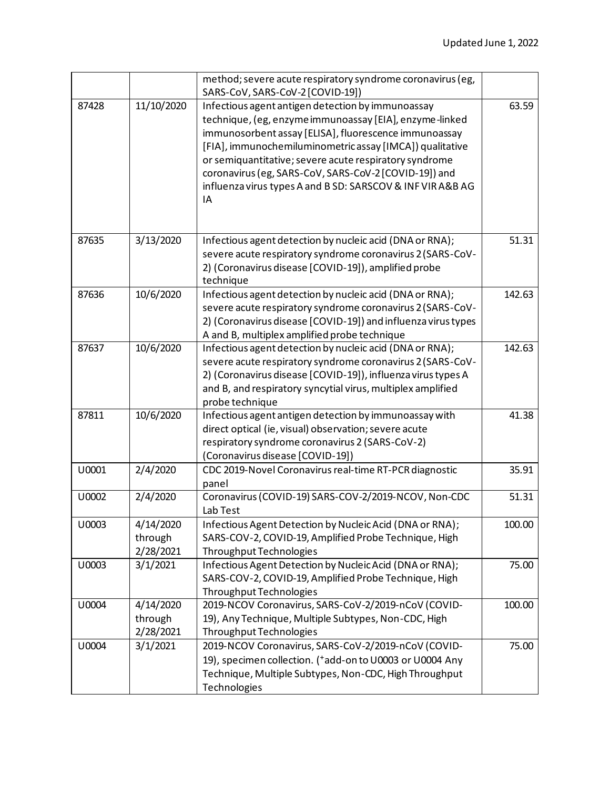|       |                                   | method; severe acute respiratory syndrome coronavirus (eg,<br>SARS-CoV, SARS-CoV-2 [COVID-19])                                                                                                                                                                                                                                                                                                                           |        |
|-------|-----------------------------------|--------------------------------------------------------------------------------------------------------------------------------------------------------------------------------------------------------------------------------------------------------------------------------------------------------------------------------------------------------------------------------------------------------------------------|--------|
| 87428 | 11/10/2020                        | Infectious agent antigen detection by immunoassay<br>technique, (eg, enzyme immunoassay [EIA], enzyme-linked<br>immunosorbent assay [ELISA], fluorescence immunoassay<br>[FIA], immunochemiluminometric assay [IMCA]) qualitative<br>or semiquantitative; severe acute respiratory syndrome<br>coronavirus (eg, SARS-CoV, SARS-CoV-2 [COVID-19]) and<br>influenza virus types A and B SD: SARSCOV & INF VIR A&B AG<br>IA | 63.59  |
| 87635 | 3/13/2020                         | Infectious agent detection by nucleic acid (DNA or RNA);<br>severe acute respiratory syndrome coronavirus 2 (SARS-CoV-<br>2) (Coronavirus disease [COVID-19]), amplified probe<br>technique                                                                                                                                                                                                                              | 51.31  |
| 87636 | 10/6/2020                         | Infectious agent detection by nucleic acid (DNA or RNA);<br>severe acute respiratory syndrome coronavirus 2 (SARS-CoV-<br>2) (Coronavirus disease [COVID-19]) and influenza virus types<br>A and B, multiplex amplified probe technique                                                                                                                                                                                  | 142.63 |
| 87637 | 10/6/2020                         | Infectious agent detection by nucleic acid (DNA or RNA);<br>severe acute respiratory syndrome coronavirus 2 (SARS-CoV-<br>2) (Coronavirus disease [COVID-19]), influenza virus types A<br>and B, and respiratory syncytial virus, multiplex amplified<br>probe technique                                                                                                                                                 | 142.63 |
| 87811 | 10/6/2020                         | Infectious agent antigen detection by immunoassay with<br>direct optical (ie, visual) observation; severe acute<br>respiratory syndrome coronavirus 2 (SARS-CoV-2)<br>(Coronavirus disease [COVID-19])                                                                                                                                                                                                                   | 41.38  |
| U0001 | 2/4/2020                          | CDC 2019-Novel Coronavirus real-time RT-PCR diagnostic<br>panel                                                                                                                                                                                                                                                                                                                                                          | 35.91  |
| U0002 | 2/4/2020                          | Coronavirus (COVID-19) SARS-COV-2/2019-NCOV, Non-CDC<br>Lab Test                                                                                                                                                                                                                                                                                                                                                         | 51.31  |
| U0003 | 4/14/2020<br>through<br>2/28/2021 | Infectious Agent Detection by Nucleic Acid (DNA or RNA);<br>SARS-COV-2, COVID-19, Amplified Probe Technique, High<br>Throughput Technologies                                                                                                                                                                                                                                                                             | 100.00 |
| U0003 | 3/1/2021                          | Infectious Agent Detection by Nucleic Acid (DNA or RNA);<br>SARS-COV-2, COVID-19, Amplified Probe Technique, High<br>Throughput Technologies                                                                                                                                                                                                                                                                             | 75.00  |
| U0004 | 4/14/2020<br>through<br>2/28/2021 | 2019-NCOV Coronavirus, SARS-CoV-2/2019-nCoV (COVID-<br>19), Any Technique, Multiple Subtypes, Non-CDC, High<br>Throughput Technologies                                                                                                                                                                                                                                                                                   | 100.00 |
| U0004 | 3/1/2021                          | 2019-NCOV Coronavirus, SARS-CoV-2/2019-nCoV (COVID-<br>19), specimen collection. (*add-on to U0003 or U0004 Any<br>Technique, Multiple Subtypes, Non-CDC, High Throughput<br>Technologies                                                                                                                                                                                                                                | 75.00  |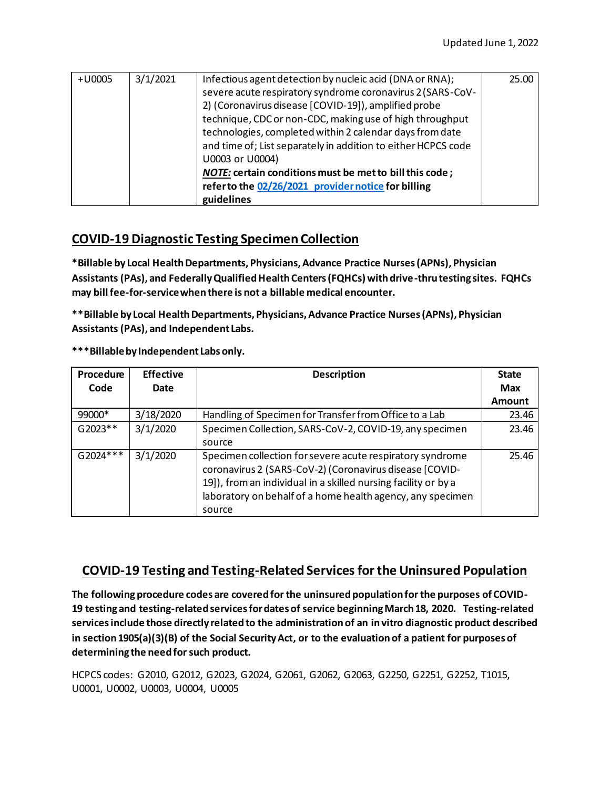| $+U0005$ | 3/1/2021 | Infectious agent detection by nucleic acid (DNA or RNA);<br>severe acute respiratory syndrome coronavirus 2 (SARS-CoV-<br>2) (Coronavirus disease [COVID-19]), amplified probe<br>technique, CDC or non-CDC, making use of high throughput<br>technologies, completed within 2 calendar days from date<br>and time of; List separately in addition to either HCPCS code<br>U0003 or U0004)<br>NOTE: certain conditions must be met to bill this code;<br>refer to the 02/26/2021 provider notice for billing<br>guidelines | 25.00 |
|----------|----------|----------------------------------------------------------------------------------------------------------------------------------------------------------------------------------------------------------------------------------------------------------------------------------------------------------------------------------------------------------------------------------------------------------------------------------------------------------------------------------------------------------------------------|-------|
|----------|----------|----------------------------------------------------------------------------------------------------------------------------------------------------------------------------------------------------------------------------------------------------------------------------------------------------------------------------------------------------------------------------------------------------------------------------------------------------------------------------------------------------------------------------|-------|

### **COVID-19 Diagnostic Testing Specimen Collection**

**\*Billable by Local Health Departments, Physicians, Advance Practice Nurses (APNs), Physician Assistants (PAs), and Federally Qualified Health Centers (FQHCs) with drive-thru testing sites. FQHCs may bill fee-for-service when there is not a billable medical encounter.**

**\*\*Billable by Local Health Departments, Physicians, Advance Practice Nurses (APNs), Physician Assistants (PAs), and Independent Labs.**

| Procedure | <b>Effective</b> | <b>Description</b>                                             | <b>State</b>  |
|-----------|------------------|----------------------------------------------------------------|---------------|
| Code      | Date             |                                                                | <b>Max</b>    |
|           |                  |                                                                | <b>Amount</b> |
| 99000*    | 3/18/2020        | Handling of Specimen for Transfer from Office to a Lab         | 23.46         |
| $G2023**$ | 3/1/2020         | Specimen Collection, SARS-CoV-2, COVID-19, any specimen        | 23.46         |
|           |                  | source                                                         |               |
| G2024***  | 3/1/2020         | Specimen collection for severe acute respiratory syndrome      | 25.46         |
|           |                  | coronavirus 2 (SARS-CoV-2) (Coronavirus disease [COVID-        |               |
|           |                  | 19]), from an individual in a skilled nursing facility or by a |               |
|           |                  | laboratory on behalf of a home health agency, any specimen     |               |
|           |                  | source                                                         |               |

**\*\*\*Billable by Independent Labs only.**

### **COVID-19 Testing and Testing-Related Services for the Uninsured Population**

**The following procedure codes are covered for the uninsured population for the purposes of COVID-19 testing and testing-related services for dates of service beginning March 18, 2020. Testing-related services include those directly related to the administration of an in vitro diagnostic product described in section 1905(a)(3)(B) of the Social Security Act, or to the evaluation of a patient for purposes of determining the need for such product.**

HCPCS codes: G2010, G2012, G2023, G2024, G2061, G2062, G2063, G2250, G2251, G2252, T1015, U0001, U0002, U0003, U0004, U0005